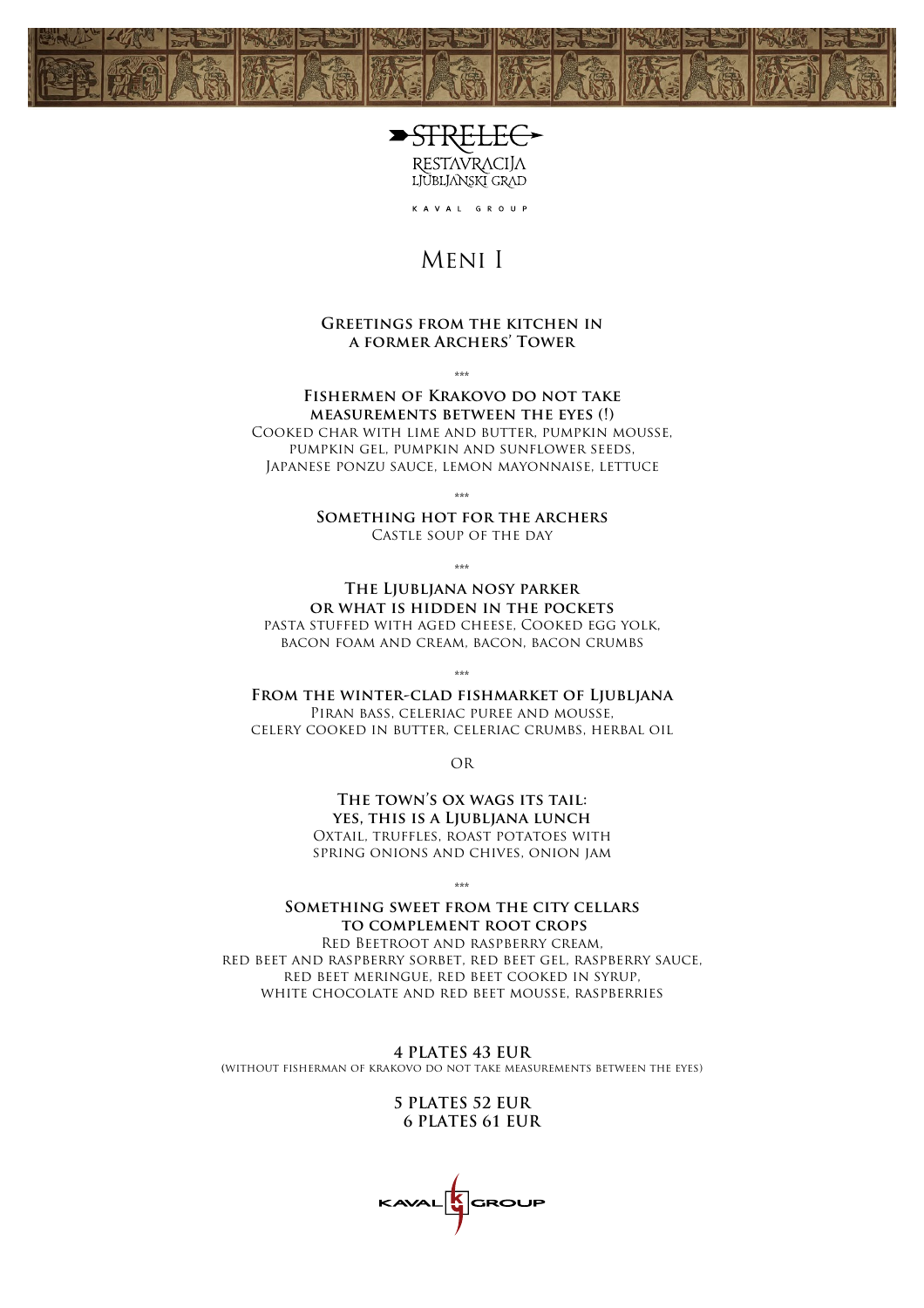



KAVAL GROUP

## Meni I

#### **Greetings from the kitchen in a former Archers' Tower**

\*\*\*

#### **Fishermen of Krakovo do not take measurements between the eyes (!)** Cooked char with lime and butter, pumpkin mousse, pumpkin gel, pumpkin and sunflower seeds, Japanese ponzu sauce, lemon mayonnaise, lettuce

\*\*\*

**Something hot for the archers** Castle soup of the day

\*\*\*

**The Ljubljana nosy parker or what is hidden in the pockets** pasta stuffed with aged cheese, Cooked egg yolk, bacon foam and cream, bacon, bacon crumbs

\*\*\*

**From the winter-clad fishmarket of Ljubljana**

Piran bass, celeriac puree and mousse, celery cooked in butter, celeriac crumbs, herbal oil

OR

THE TOWN'S OX WAGS ITS TAIL: **yes, this is a Ljubljana lunch** Oxtail, truffles, roast potatoes with spring onions and chives, onion jam

\*\*\*

#### **Something sweet from the city cellars to complement root crops**

Red Beetroot and raspberry cream, red beet and raspberry sorbet, red beet gel, raspberry sauce, red beet meringue, red beet cooked in syrup, white chocolate and red beet mousse, raspberries

**4 PLATES 43 EUR (**without fisherman of krakovo do not take measurements between the eyes)

> **5 PLATES 52 EUR 6 PLATES 61 EUR**

GROUP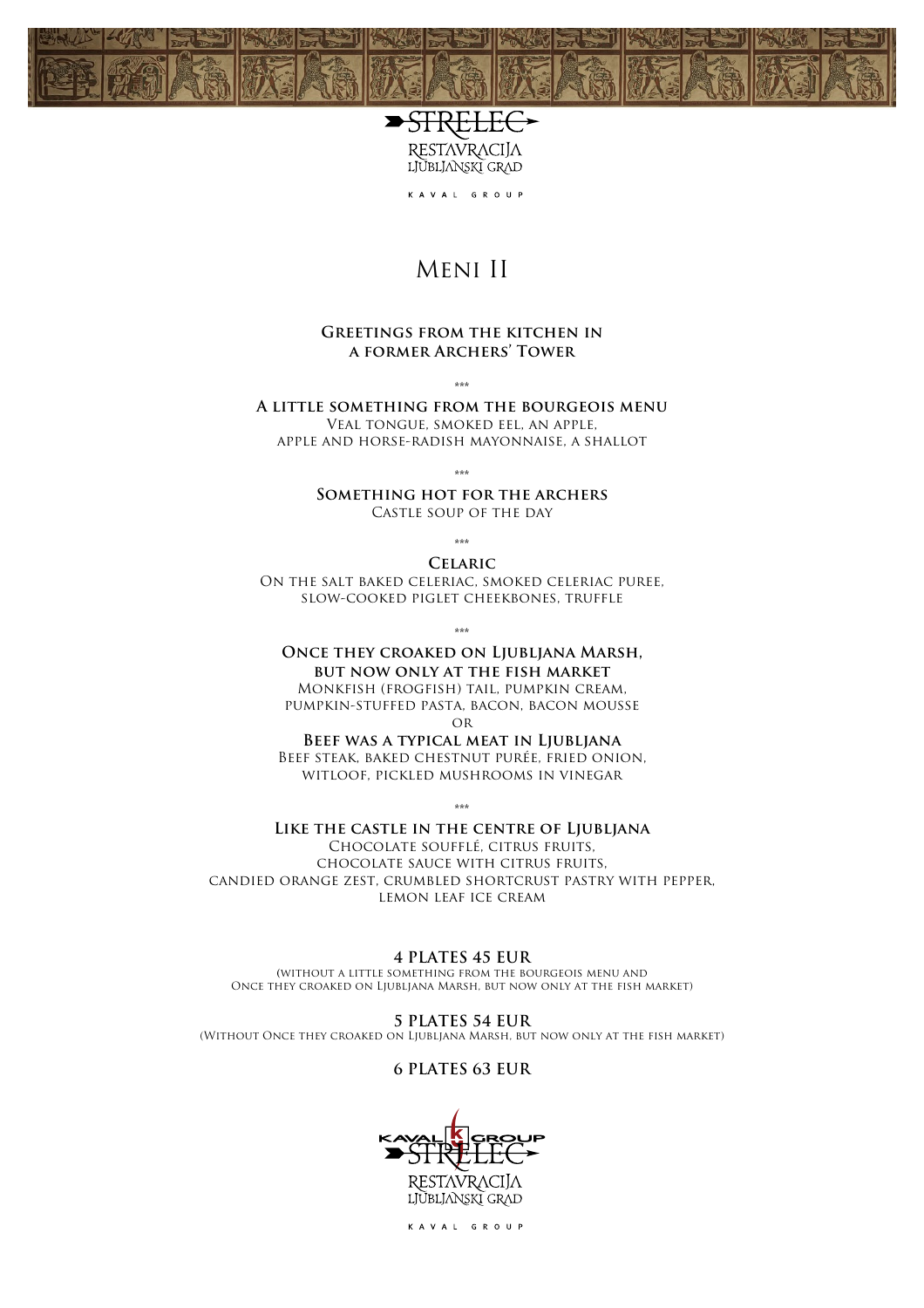



KAVAL GROUP

# Meni II

#### **Greetings from the kitchen in a former Archers' Tower**

\*\*\*

**A little something from the bourgeois menu** Veal tongue, smoked eel, an apple, apple and horse-radish mayonnaise, a shallot

\*\*\*

**Something hot for the archers** Castle soup of the day

\*\*\* **Celaric**

On the salt baked celeriac, smoked celeriac puree, slow-cooked piglet cheekbones, truffle

\*\*\*

#### **Once they croaked on Ljubljana Marsh, but now only at the fish market** Monkfish (frogfish) tail, pumpkin cream,

pumpkin-stuffed pasta, bacon, bacon mousse **OR** 

**Beef was a typical meat in Ljubljana** Beef steak, baked chestnut purée, fried onion, witloof, pickled mushrooms in vinegar

\*\*\*

#### **Like the castle in the centre of Ljubljana**

Chocolate soufflé, citrus fruits, chocolate sauce with citrus fruits, candied orange zest, crumbled shortcrust pastry with pepper, lemon leaf ice cream

#### **4 PLATES 45 EUR**

**(**without a little something from the bourgeois menu and Once they croaked on Ljubljana Marsh, but now only at the fish market)

**5 PLATES 54 EUR** (Without Once they croaked on Ljubljana Marsh, but now only at the fish market)

#### **6 PLATES 63 EUR**



KAVAL GROUP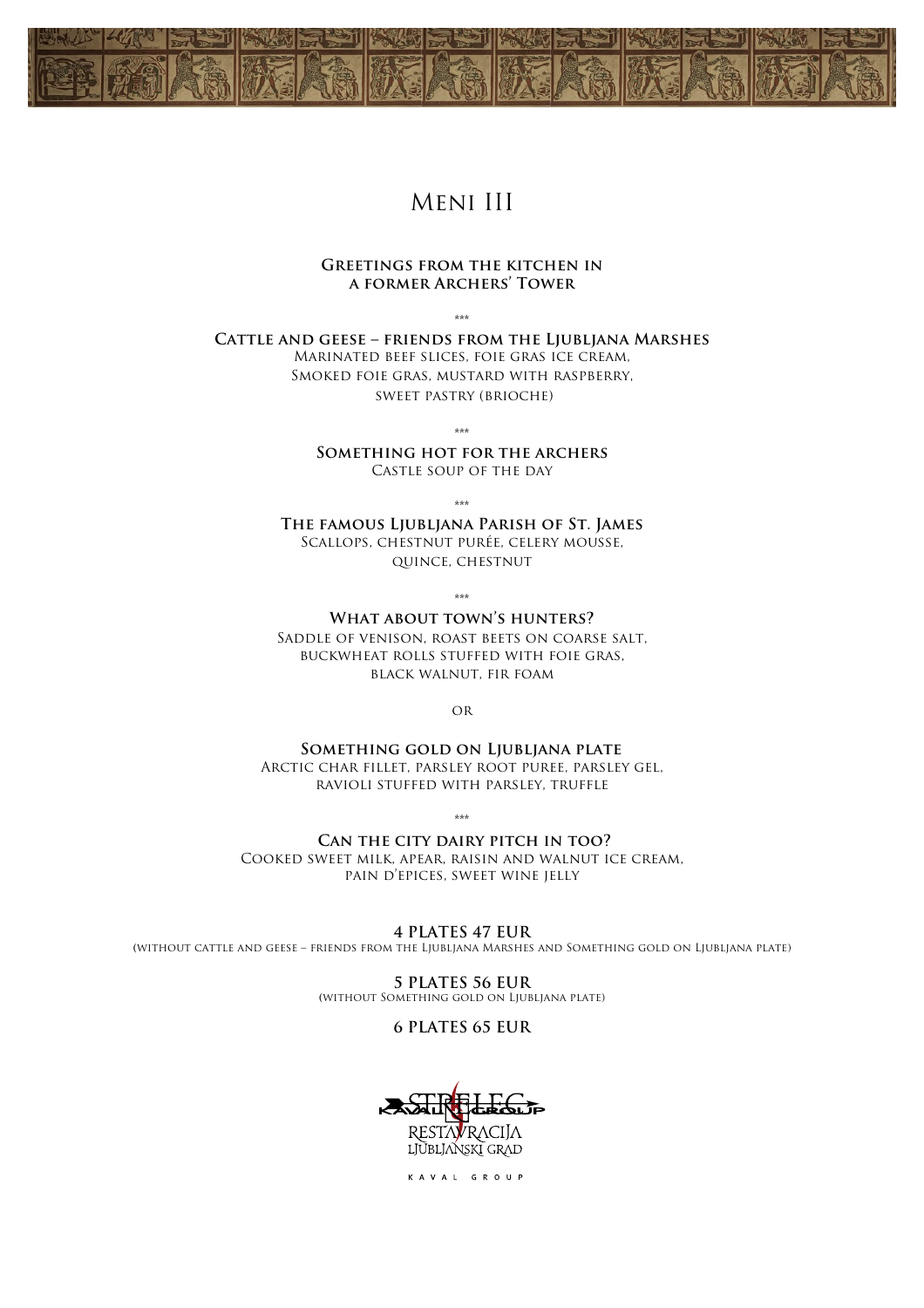

## Meni III

#### **Greetings from the kitchen in a former Archers' Tower**

\*\*\*

**Cattle and geese – friends from the Ljubljana Marshes** Marinated beef slices, foie gras ice cream, Smoked foie gras, mustard with raspberry, sweet pastry (brioche)

\*\*\*

**Something hot for the archers** Castle soup of the day

\*\*\*

**The famous Ljubljana Parish of St. James** Scallops, chestnut purée, celery mousse, quince, chestnut

\*\*\*

**What about town's hunters?** Saddle of venison, roast beets on coarse salt, buckwheat rolls stuffed with foie gras, black walnut, fir foam

or

**Something gold on Ljubljana plate** Arctic char fillet, parsley root puree, parsley gel, ravioli stuffed with parsley, truffle

 $*^{**}$ 

**Can the city dairy pitch in too?** Cooked sweet milk, apear, raisin and walnut ice cream, pain d'epices, sweet wine jelly

**4 PLATES 47 EUR (**without cattle and geese – friends from the Ljubljana Marshes and Something gold on Ljubljana plate)

> **5 PLATES 56 EUR (**without Something gold on Ljubljana plate)

> > **6 PLATES 65 EUR**



KAVAL GROUP